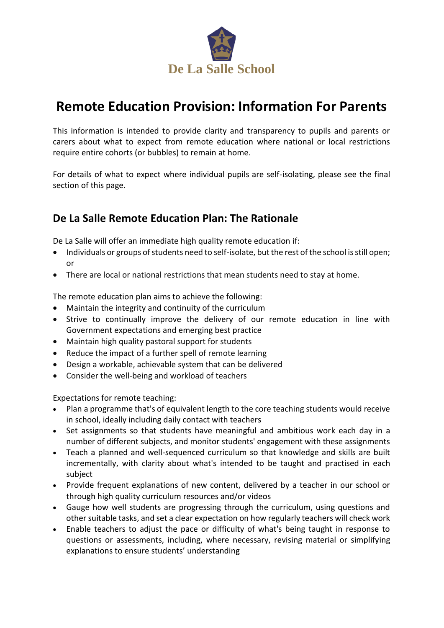

# **Remote Education Provision: Information For Parents**

This information is intended to provide clarity and transparency to pupils and parents or carers about what to expect from remote education where national or local restrictions require entire cohorts (or bubbles) to remain at home.

For details of what to expect where individual pupils are self-isolating, please see the final section of this page.

### **De La Salle Remote Education Plan: The Rationale**

De La Salle will offer an immediate high quality remote education if:

- Individuals or groups of students need to self-isolate, but the rest of the school is still open; or
- There are local or national restrictions that mean students need to stay at home.

The remote education plan aims to achieve the following:

- Maintain the integrity and continuity of the curriculum
- Strive to continually improve the delivery of our remote education in line with Government expectations and emerging best practice
- Maintain high quality pastoral support for students
- Reduce the impact of a further spell of remote learning
- Design a workable, achievable system that can be delivered
- Consider the well-being and workload of teachers

Expectations for remote teaching:

- Plan a programme that's of equivalent length to the core teaching students would receive in school, ideally including daily contact with teachers
- Set assignments so that students have meaningful and ambitious work each day in a number of different subjects, and monitor students' engagement with these assignments
- Teach a planned and well-sequenced curriculum so that knowledge and skills are built incrementally, with clarity about what's intended to be taught and practised in each subject
- Provide frequent explanations of new content, delivered by a teacher in our school or through high quality curriculum resources and/or videos
- Gauge how well students are progressing through the curriculum, using questions and other suitable tasks, and set a clear expectation on how regularly teachers will check work
- Enable teachers to adjust the pace or difficulty of what's being taught in response to questions or assessments, including, where necessary, revising material or simplifying explanations to ensure students' understanding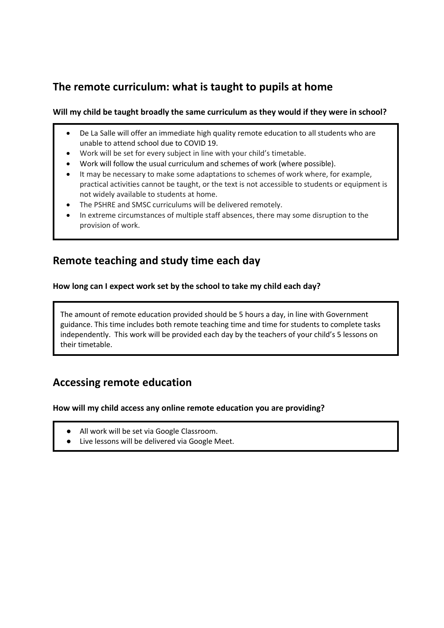# **The remote curriculum: what is taught to pupils at home**

#### **Will my child be taught broadly the same curriculum as they would if they were in school?**

- De La Salle will offer an immediate high quality remote education to all students who are unable to attend school due to COVID 19.
- Work will be set for every subject in line with your child's timetable.
- Work will follow the usual curriculum and schemes of work (where possible).
- It may be necessary to make some adaptations to schemes of work where, for example, practical activities cannot be taught, or the text is not accessible to students or equipment is not widely available to students at home.
- The PSHRE and SMSC curriculums will be delivered remotely.
- In extreme circumstances of multiple staff absences, there may some disruption to the provision of work.

### **Remote teaching and study time each day**

#### **How long can I expect work set by the school to take my child each day?**

 The amount of remote education provided should be 5 hours a day, in line with Government guidance. This time includes both remote teaching time and time for students to complete tasks independently. This work will be provided each day by the teachers of your child's 5 lessons on their timetable.

### **Accessing remote education**

#### **How will my child access any online remote education you are providing?**

- All work will be set via Google Classroom.
- Live lessons will be delivered via Google Meet.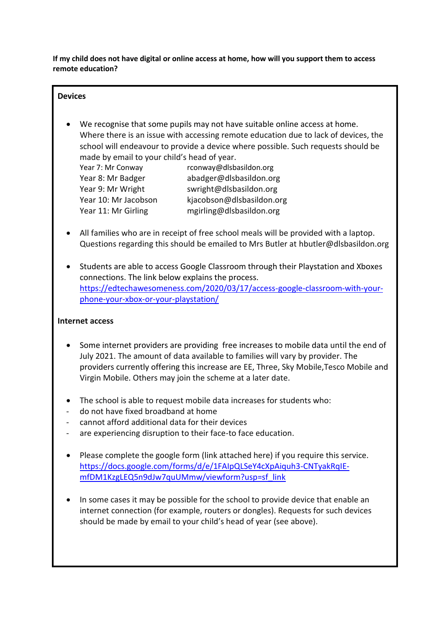**If my child does not have digital or online access at home, how will you support them to access remote education?**

#### **Devices**

 We recognise that some pupils may not have suitable online access at home. Where there is an issue with accessing remote education due to lack of devices, the school will endeavour to provide a device where possible. Such requests should be made by email to your child's head of year.

Year 7: Mr Conway [rconway@dlsbasildon.org](mailto:rconway@dlsbasildon.org) Year 8: Mr Badger [abadger@dlsbasildon.org](mailto:abadger@dlsbasildon.org) Year 9: Mr Wright [swright@dlsbasildon.org](mailto:swright@dlsbasildon.org) Year 10: Mr Jacobson [kjacobson@dlsbasildon.org](mailto:kjacobson@dlsbasildon.org) Year 11: Mr Girling [mgirling@dlsbasildon.org](mailto:mgirling@dlsbasildon.org)

- All families who are in receipt of free school meals will be provided with a laptop. Questions regarding this should be emailed to Mrs Butler at [hbutler@dlsbasildon.org](mailto:hbutler@dlsbasildon.org)
- Students are able to access Google Classroom through their Playstation and Xboxes connections. The link below explains the process. [https://edtechawesomeness.com/2020/03/17/access-google-classroom-with-your](https://edtechawesomeness.com/2020/03/17/access-google-classroom-with-your-phone-your-xbox-or-your-playstation/)[phone-your-xbox-or-your-playstation/](https://edtechawesomeness.com/2020/03/17/access-google-classroom-with-your-phone-your-xbox-or-your-playstation/)

#### **Internet access**

- Some internet providers are providing free increases to mobile data until the end of July 2021. The amount of data available to families will vary by provider. The providers currently offering this increase are EE, Three, Sky Mobile,Tesco Mobile and Virgin Mobile. Others may join the scheme at a later date.
- The school is able to request mobile data increases for students who:
- do not have fixed broadband at home
- cannot afford additional data for their devices
- are experiencing disruption to their face-to face education.
- Please complete the google form (link attached here) if you require this service. [https://docs.google.com/forms/d/e/1FAIpQLSeY4cXpAiquh3-CNTyakRqIE](https://docs.google.com/forms/d/e/1FAIpQLSeY4cXpAiquh3-CNTyakRqIE-mfDM1KzgLEQ5n9dJw7quUMmw/viewform?usp=sf_link)[mfDM1KzgLEQ5n9dJw7quUMmw/viewform?usp=sf\\_link](https://docs.google.com/forms/d/e/1FAIpQLSeY4cXpAiquh3-CNTyakRqIE-mfDM1KzgLEQ5n9dJw7quUMmw/viewform?usp=sf_link)
- In some cases it may be possible for the school to provide device that enable an internet connection (for example, routers or dongles). Requests for such devices should be made by email to your child's head of year (see above).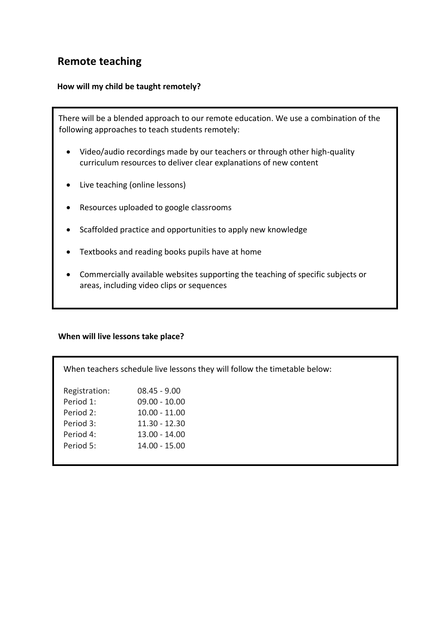### **Remote teaching**

#### **How will my child be taught remotely?**

 There will be a blended approach to our remote education. We use a combination of the following approaches to teach students remotely:

- Video/audio recordings made by our teachers or through other high-quality curriculum resources to deliver clear explanations of new content
- Live teaching (online lessons)
- Resources uploaded to google classrooms
- Scaffolded practice and opportunities to apply new knowledge
- Textbooks and reading books pupils have at home
- Commercially available websites supporting the teaching of specific subjects or areas, including video clips or sequences

#### **When will live lessons take place?**

| When teachers schedule live lessons they will follow the timetable below: |                 |
|---------------------------------------------------------------------------|-----------------|
| Registration:                                                             | $08.45 - 9.00$  |
| Period 1:                                                                 | $09.00 - 10.00$ |
| Period 2:                                                                 | $10.00 - 11.00$ |
| Period 3:                                                                 | $11.30 - 12.30$ |
| Period 4:                                                                 | $13.00 - 14.00$ |
| Period 5:                                                                 | $14.00 - 15.00$ |
|                                                                           |                 |
|                                                                           |                 |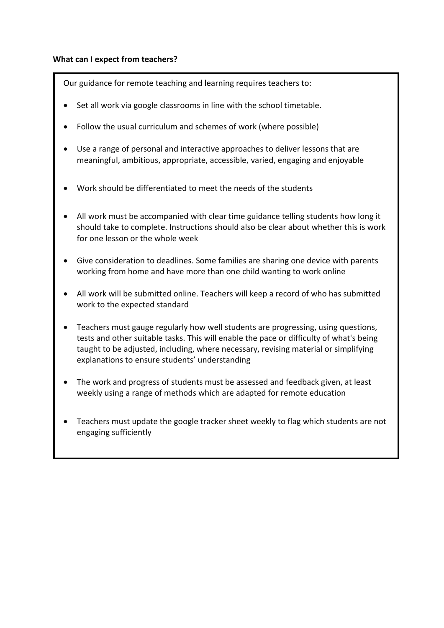#### **What can I expect from teachers?**

Our guidance for remote teaching and learning requires teachers to:

- Set all work via google classrooms in line with the school timetable.
- Follow the usual curriculum and schemes of work (where possible)
- Use a range of personal and interactive approaches to deliver lessons that are meaningful, ambitious, appropriate, accessible, varied, engaging and enjoyable
- Work should be differentiated to meet the needs of the students
- All work must be accompanied with clear time guidance telling students how long it should take to complete. Instructions should also be clear about whether this is work for one lesson or the whole week
- Give consideration to deadlines. Some families are sharing one device with parents working from home and have more than one child wanting to work online
- All work will be submitted online. Teachers will keep a record of who has submitted work to the expected standard
- Teachers must gauge regularly how well students are progressing, using questions, tests and other suitable tasks. This will enable the pace or difficulty of what's being taught to be adjusted, including, where necessary, revising material or simplifying explanations to ensure students' understanding
- The work and progress of students must be assessed and feedback given, at least weekly using a range of methods which are adapted for remote education
- Teachers must update the google tracker sheet weekly to flag which students are not engaging sufficiently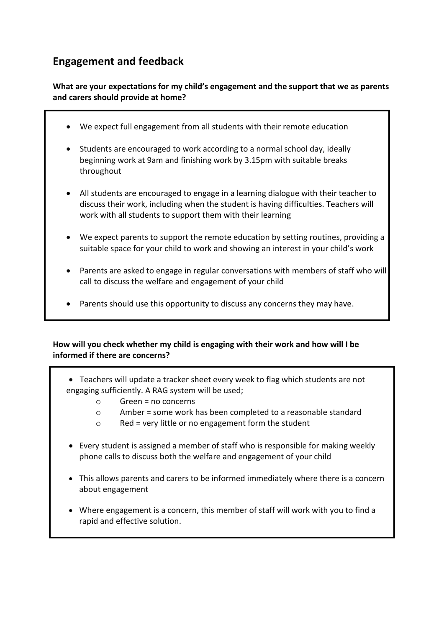# **Engagement and feedback**

#### **What are your expectations for my child's engagement and the support that we as parents and carers should provide at home?**

- We expect full engagement from all students with their remote education
- Students are encouraged to work according to a normal school day, ideally beginning work at 9am and finishing work by 3.15pm with suitable breaks throughout
- All students are encouraged to engage in a learning dialogue with their teacher to discuss their work, including when the student is having difficulties. Teachers will work with all students to support them with their learning
- We expect parents to support the remote education by setting routines, providing a suitable space for your child to work and showing an interest in your child's work
- Parents are asked to engage in regular conversations with members of staff who will call to discuss the welfare and engagement of your child
- Parents should use this opportunity to discuss any concerns they may have.

#### **How will you check whether my child is engaging with their work and how will I be informed if there are concerns?**

- Teachers will update a tracker sheet every week to flag which students are not engaging sufficiently. A RAG system will be used;
	- $\circ$  Green = no concerns
	- o Amber = some work has been completed to a reasonable standard
	- o Red = very little or no engagement form the student
- Every student is assigned a member of staff who is responsible for making weekly phone calls to discuss both the welfare and engagement of your child
- This allows parents and carers to be informed immediately where there is a concern about engagement
- Where engagement is a concern, this member of staff will work with you to find a rapid and effective solution.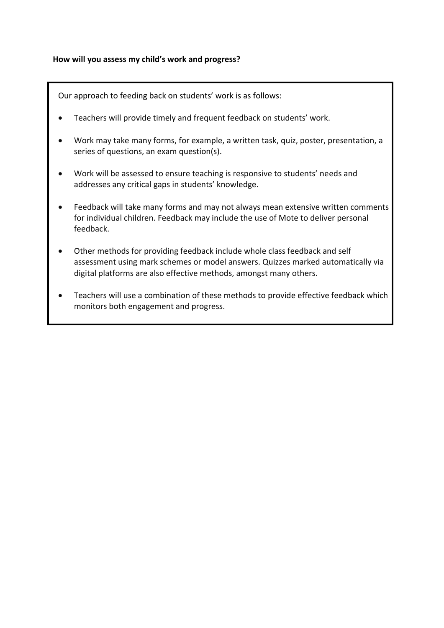#### **How will you assess my child's work and progress?**

Our approach to feeding back on students' work is as follows:

- Teachers will provide timely and frequent feedback on students' work.
- Work may take many forms, for example, a written task, quiz, poster, presentation, a series of questions, an exam question(s).
- Work will be assessed to ensure teaching is responsive to students' needs and addresses any critical gaps in students' knowledge.
- Feedback will take many forms and may not always mean extensive written comments for individual children. Feedback may include the use of Mote to deliver personal feedback.
- Other methods for providing feedback include whole class feedback and self assessment using mark schemes or model answers. Quizzes marked automatically via digital platforms are also effective methods, amongst many others.
- Teachers will use a combination of these methods to provide effective feedback which monitors both engagement and progress.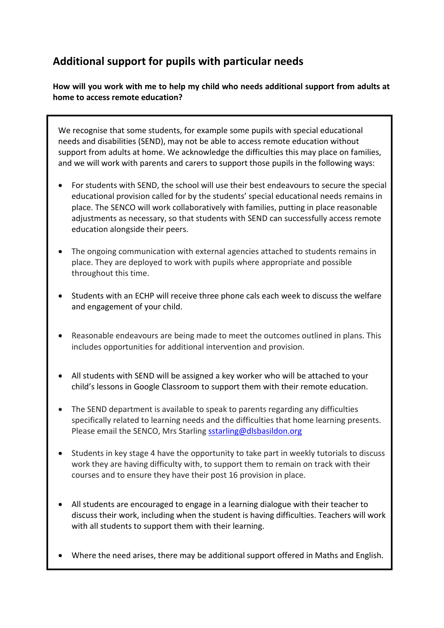# **Additional support for pupils with particular needs**

**How will you work with me to help my child who needs additional support from adults at home to access remote education?**

We recognise that some students, for example some pupils with special educational needs and disabilities (SEND), may not be able to access remote education without support from adults at home. We acknowledge the difficulties this may place on families, and we will work with parents and carers to support those pupils in the following ways:

- For students with SEND, the school will use their best endeavours to secure the special educational provision called for by the students' special educational needs remains in place. The SENCO will work collaboratively with families, putting in place reasonable adjustments as necessary, so that students with SEND can successfully access remote education alongside their peers.
- The ongoing communication with external agencies attached to students remains in place. They are deployed to work with pupils where appropriate and possible throughout this time.
- Students with an ECHP will receive three phone cals each week to discuss the welfare and engagement of your child.
- Reasonable endeavours are being made to meet the outcomes outlined in plans. This includes opportunities for additional intervention and provision.
- All students with SEND will be assigned a key worker who will be attached to your child's lessons in Google Classroom to support them with their remote education.
- The SEND department is available to speak to parents regarding any difficulties specifically related to learning needs and the difficulties that home learning presents. Please email the SENCO, Mrs Starling [sstarling@dlsbasildon.org](mailto:sstarling@dlsbasildon.org)
- Students in key stage 4 have the opportunity to take part in weekly tutorials to discuss work they are having difficulty with, to support them to remain on track with their courses and to ensure they have their post 16 provision in place.
- All students are encouraged to engage in a learning dialogue with their teacher to discuss their work, including when the student is having difficulties. Teachers will work with all students to support them with their learning.
- Where the need arises, there may be additional support offered in Maths and English.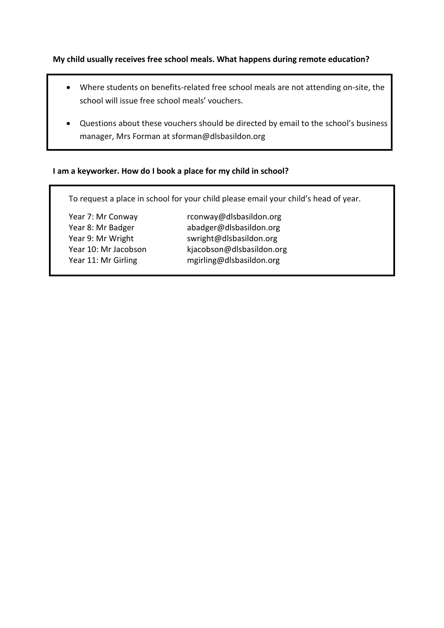**My child usually receives free school meals. What happens during remote education?**

- Where students on benefits-related free school meals are not attending on-site, the school will issue free school meals' vouchers.
- Questions about these vouchers should be directed by email to the school's business manager, Mrs Forman at sforman@dlsbasildon.org

#### **I am a keyworker. How do I book a place for my child in school?**

To request a place in school for your child please email your child's head of year.

Year 7: Mr Conway [rconway@dlsbasildon.org](mailto:rconway@dlsbasildon.org) Year 8: Mr Badger [abadger@dlsbasildon.org](mailto:abadger@dlsbasildon.org) Year 9: Mr Wright [swright@dlsbasildon.org](mailto:swright@dlsbasildon.org) Year 10: Mr Jacobson [kjacobson@dlsbasildon.org](mailto:kjacobson@dlsbasildon.org) Year 11: Mr Girling [mgirling@dlsbasildon.org](mailto:mgirling@dlsbasildon.org)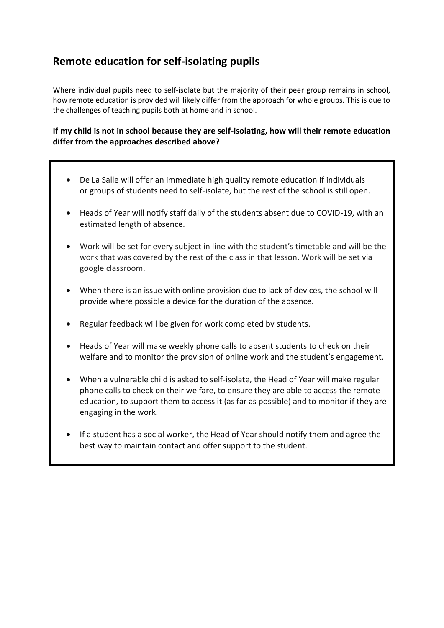## **Remote education for self-isolating pupils**

Where individual pupils need to self-isolate but the majority of their peer group remains in school, how remote education is provided will likely differ from the approach for whole groups. This is due to the challenges of teaching pupils both at home and in school.

#### **If my child is not in school because they are self-isolating, how will their remote education differ from the approaches described above?**

- De La Salle will offer an immediate high quality remote education if individuals or groups of students need to self-isolate, but the rest of the school is still open.
- Heads of Year will notify staff daily of the students absent due to COVID-19, with an estimated length of absence.
- Work will be set for every subject in line with the student's timetable and will be the work that was covered by the rest of the class in that lesson. Work will be set via google classroom.
- When there is an issue with online provision due to lack of devices, the school will provide where possible a device for the duration of the absence.
- Regular feedback will be given for work completed by students.
- Heads of Year will make weekly phone calls to absent students to check on their welfare and to monitor the provision of online work and the student's engagement.
- When a vulnerable child is asked to self-isolate, the Head of Year will make regular phone calls to check on their welfare, to ensure they are able to access the remote education, to support them to access it (as far as possible) and to monitor if they are engaging in the work.
- If a student has a social worker, the Head of Year should notify them and agree the best way to maintain contact and offer support to the student.